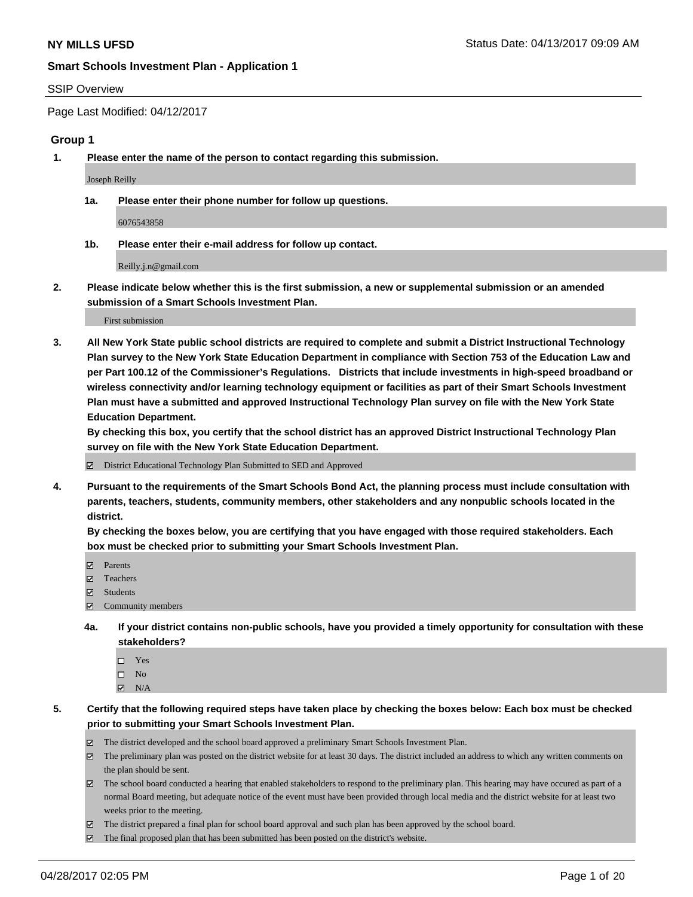#### SSIP Overview

Page Last Modified: 04/12/2017

#### **Group 1**

**1. Please enter the name of the person to contact regarding this submission.**

Joseph Reilly

**1a. Please enter their phone number for follow up questions.**

6076543858

**1b. Please enter their e-mail address for follow up contact.**

Reilly.j.n@gmail.com

**2. Please indicate below whether this is the first submission, a new or supplemental submission or an amended submission of a Smart Schools Investment Plan.**

First submission

**3. All New York State public school districts are required to complete and submit a District Instructional Technology Plan survey to the New York State Education Department in compliance with Section 753 of the Education Law and per Part 100.12 of the Commissioner's Regulations. Districts that include investments in high-speed broadband or wireless connectivity and/or learning technology equipment or facilities as part of their Smart Schools Investment Plan must have a submitted and approved Instructional Technology Plan survey on file with the New York State Education Department.** 

**By checking this box, you certify that the school district has an approved District Instructional Technology Plan survey on file with the New York State Education Department.**

District Educational Technology Plan Submitted to SED and Approved

**4. Pursuant to the requirements of the Smart Schools Bond Act, the planning process must include consultation with parents, teachers, students, community members, other stakeholders and any nonpublic schools located in the district.** 

**By checking the boxes below, you are certifying that you have engaged with those required stakeholders. Each box must be checked prior to submitting your Smart Schools Investment Plan.**

- **マ** Parents
- □ Teachers
- Students
- $\Xi$  Community members
- **4a. If your district contains non-public schools, have you provided a timely opportunity for consultation with these stakeholders?**
	- Yes
	- $\hfill \square$  No
	- $\boxtimes$  N/A
- **5. Certify that the following required steps have taken place by checking the boxes below: Each box must be checked prior to submitting your Smart Schools Investment Plan.**
	- The district developed and the school board approved a preliminary Smart Schools Investment Plan.
	- $\boxtimes$  The preliminary plan was posted on the district website for at least 30 days. The district included an address to which any written comments on the plan should be sent.
	- $\boxtimes$  The school board conducted a hearing that enabled stakeholders to respond to the preliminary plan. This hearing may have occured as part of a normal Board meeting, but adequate notice of the event must have been provided through local media and the district website for at least two weeks prior to the meeting.
	- The district prepared a final plan for school board approval and such plan has been approved by the school board.
	- $\boxtimes$  The final proposed plan that has been submitted has been posted on the district's website.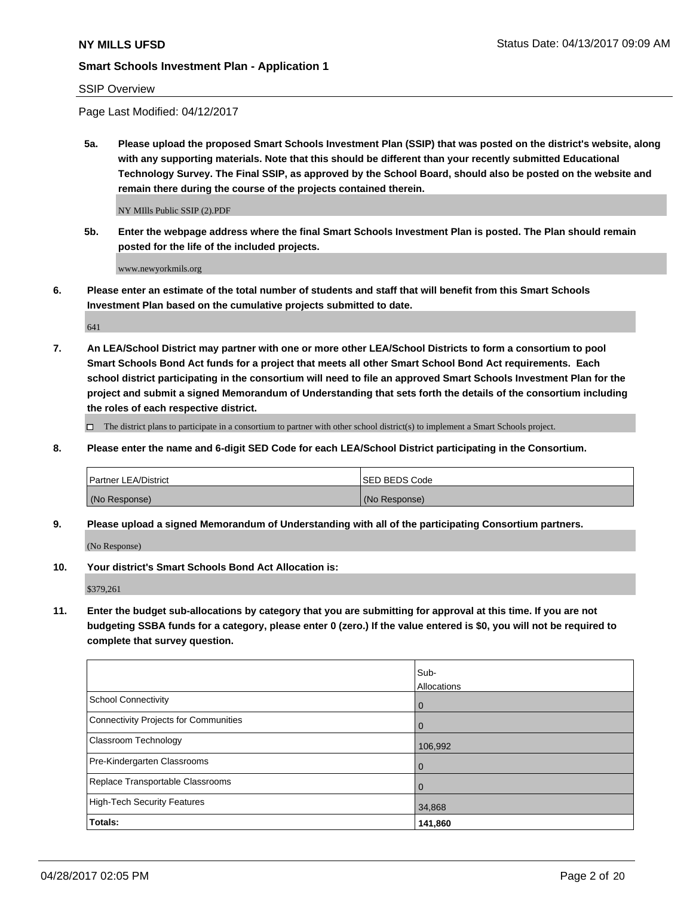### SSIP Overview

Page Last Modified: 04/12/2017

**5a. Please upload the proposed Smart Schools Investment Plan (SSIP) that was posted on the district's website, along with any supporting materials. Note that this should be different than your recently submitted Educational Technology Survey. The Final SSIP, as approved by the School Board, should also be posted on the website and remain there during the course of the projects contained therein.**

NY MIlls Public SSIP (2).PDF

**5b. Enter the webpage address where the final Smart Schools Investment Plan is posted. The Plan should remain posted for the life of the included projects.**

www.newyorkmils.org

**6. Please enter an estimate of the total number of students and staff that will benefit from this Smart Schools Investment Plan based on the cumulative projects submitted to date.**

641

**7. An LEA/School District may partner with one or more other LEA/School Districts to form a consortium to pool Smart Schools Bond Act funds for a project that meets all other Smart School Bond Act requirements. Each school district participating in the consortium will need to file an approved Smart Schools Investment Plan for the project and submit a signed Memorandum of Understanding that sets forth the details of the consortium including the roles of each respective district.**

 $\Box$  The district plans to participate in a consortium to partner with other school district(s) to implement a Smart Schools project.

**8. Please enter the name and 6-digit SED Code for each LEA/School District participating in the Consortium.**

| <b>Partner LEA/District</b> | <b>ISED BEDS Code</b> |
|-----------------------------|-----------------------|
| (No Response)               | (No Response)         |

**9. Please upload a signed Memorandum of Understanding with all of the participating Consortium partners.**

(No Response)

**10. Your district's Smart Schools Bond Act Allocation is:**

\$379,261

**11. Enter the budget sub-allocations by category that you are submitting for approval at this time. If you are not budgeting SSBA funds for a category, please enter 0 (zero.) If the value entered is \$0, you will not be required to complete that survey question.**

|                                              | Sub-<br>Allocations |
|----------------------------------------------|---------------------|
| <b>School Connectivity</b>                   | $\mathbf 0$         |
| <b>Connectivity Projects for Communities</b> | 0                   |
| Classroom Technology                         | 106,992             |
| Pre-Kindergarten Classrooms                  | $\overline{0}$      |
| Replace Transportable Classrooms             | $\mathbf 0$         |
| <b>High-Tech Security Features</b>           | 34,868              |
| Totals:                                      | 141,860             |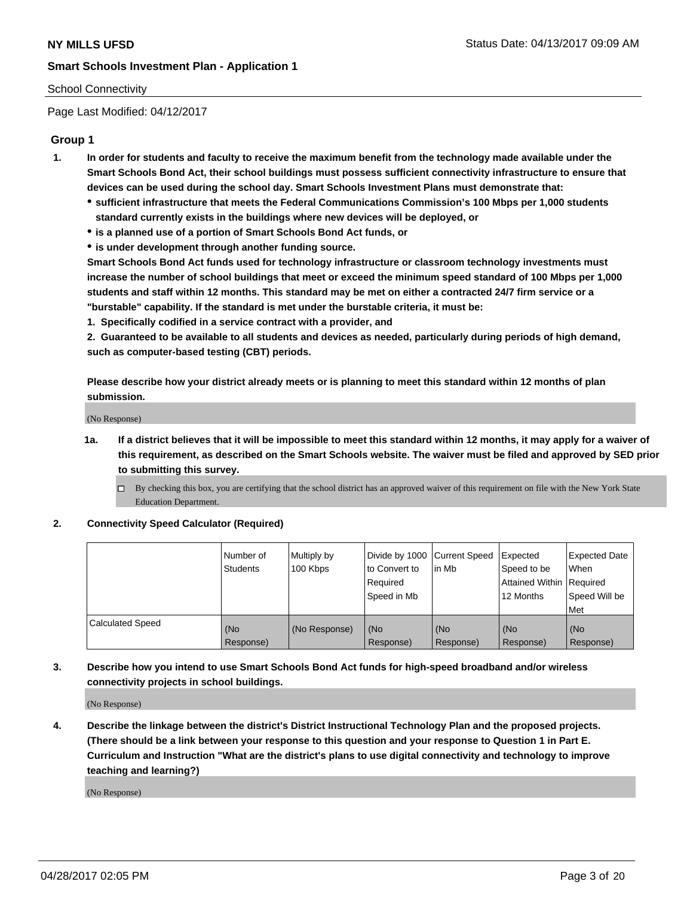### School Connectivity

Page Last Modified: 04/12/2017

### **Group 1**

- **1. In order for students and faculty to receive the maximum benefit from the technology made available under the Smart Schools Bond Act, their school buildings must possess sufficient connectivity infrastructure to ensure that devices can be used during the school day. Smart Schools Investment Plans must demonstrate that:**
	- **sufficient infrastructure that meets the Federal Communications Commission's 100 Mbps per 1,000 students standard currently exists in the buildings where new devices will be deployed, or**
	- **is a planned use of a portion of Smart Schools Bond Act funds, or**
	- **is under development through another funding source.**

**Smart Schools Bond Act funds used for technology infrastructure or classroom technology investments must increase the number of school buildings that meet or exceed the minimum speed standard of 100 Mbps per 1,000 students and staff within 12 months. This standard may be met on either a contracted 24/7 firm service or a "burstable" capability. If the standard is met under the burstable criteria, it must be:**

**1. Specifically codified in a service contract with a provider, and**

**2. Guaranteed to be available to all students and devices as needed, particularly during periods of high demand, such as computer-based testing (CBT) periods.**

**Please describe how your district already meets or is planning to meet this standard within 12 months of plan submission.**

(No Response)

- **1a. If a district believes that it will be impossible to meet this standard within 12 months, it may apply for a waiver of this requirement, as described on the Smart Schools website. The waiver must be filed and approved by SED prior to submitting this survey.**
	- By checking this box, you are certifying that the school district has an approved waiver of this requirement on file with the New York State Education Department.

#### **2. Connectivity Speed Calculator (Required)**

|                         | l Number of<br><b>Students</b> | Multiply by<br>100 Kbps | Divide by 1000   Current Speed<br>to Convert to<br>Required<br>l Speed in Mb | in Mb            | Expected<br>Speed to be<br>Attained Within Required<br>12 Months | <b>Expected Date</b><br>When<br>Speed Will be<br><b>Met</b> |
|-------------------------|--------------------------------|-------------------------|------------------------------------------------------------------------------|------------------|------------------------------------------------------------------|-------------------------------------------------------------|
| <b>Calculated Speed</b> | (No<br>Response)               | (No Response)           | (No<br>Response)                                                             | (No<br>Response) | (No<br>Response)                                                 | l (No<br>Response)                                          |

## **3. Describe how you intend to use Smart Schools Bond Act funds for high-speed broadband and/or wireless connectivity projects in school buildings.**

(No Response)

**4. Describe the linkage between the district's District Instructional Technology Plan and the proposed projects. (There should be a link between your response to this question and your response to Question 1 in Part E. Curriculum and Instruction "What are the district's plans to use digital connectivity and technology to improve teaching and learning?)**

(No Response)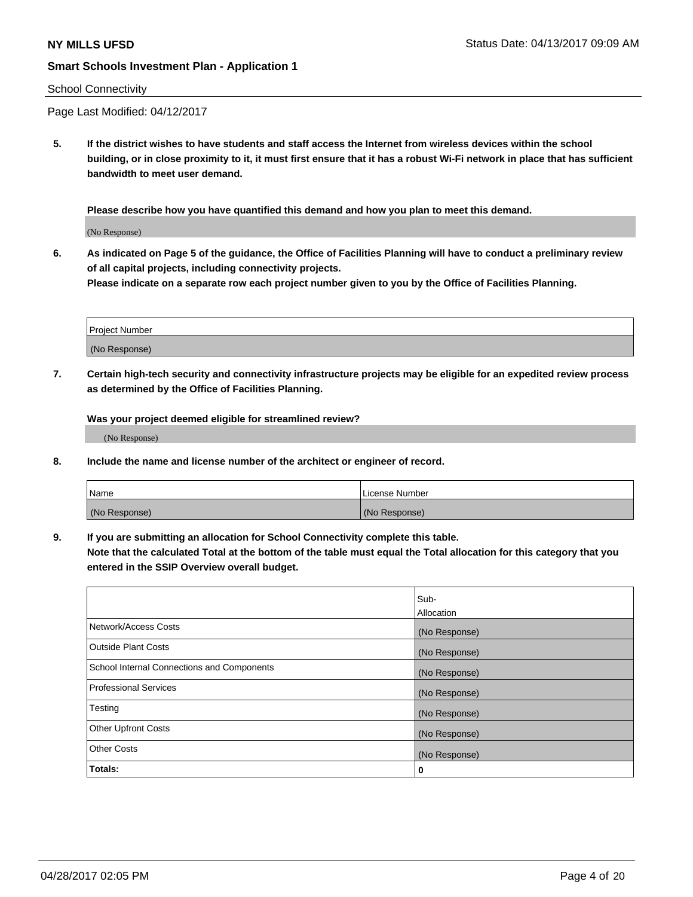#### School Connectivity

Page Last Modified: 04/12/2017

**5. If the district wishes to have students and staff access the Internet from wireless devices within the school building, or in close proximity to it, it must first ensure that it has a robust Wi-Fi network in place that has sufficient bandwidth to meet user demand.**

**Please describe how you have quantified this demand and how you plan to meet this demand.**

(No Response)

**6. As indicated on Page 5 of the guidance, the Office of Facilities Planning will have to conduct a preliminary review of all capital projects, including connectivity projects.**

**Please indicate on a separate row each project number given to you by the Office of Facilities Planning.**

| Project Number |  |
|----------------|--|
|                |  |
| (No Response)  |  |

**7. Certain high-tech security and connectivity infrastructure projects may be eligible for an expedited review process as determined by the Office of Facilities Planning.**

**Was your project deemed eligible for streamlined review?**

(No Response)

**8. Include the name and license number of the architect or engineer of record.**

| Name          | License Number |
|---------------|----------------|
| (No Response) | (No Response)  |

**9. If you are submitting an allocation for School Connectivity complete this table.**

**Note that the calculated Total at the bottom of the table must equal the Total allocation for this category that you entered in the SSIP Overview overall budget.** 

|                                            | Sub-          |
|--------------------------------------------|---------------|
|                                            | Allocation    |
| Network/Access Costs                       | (No Response) |
| Outside Plant Costs                        | (No Response) |
| School Internal Connections and Components | (No Response) |
| <b>Professional Services</b>               | (No Response) |
| Testing                                    | (No Response) |
| <b>Other Upfront Costs</b>                 | (No Response) |
| <b>Other Costs</b>                         | (No Response) |
| Totals:                                    | 0             |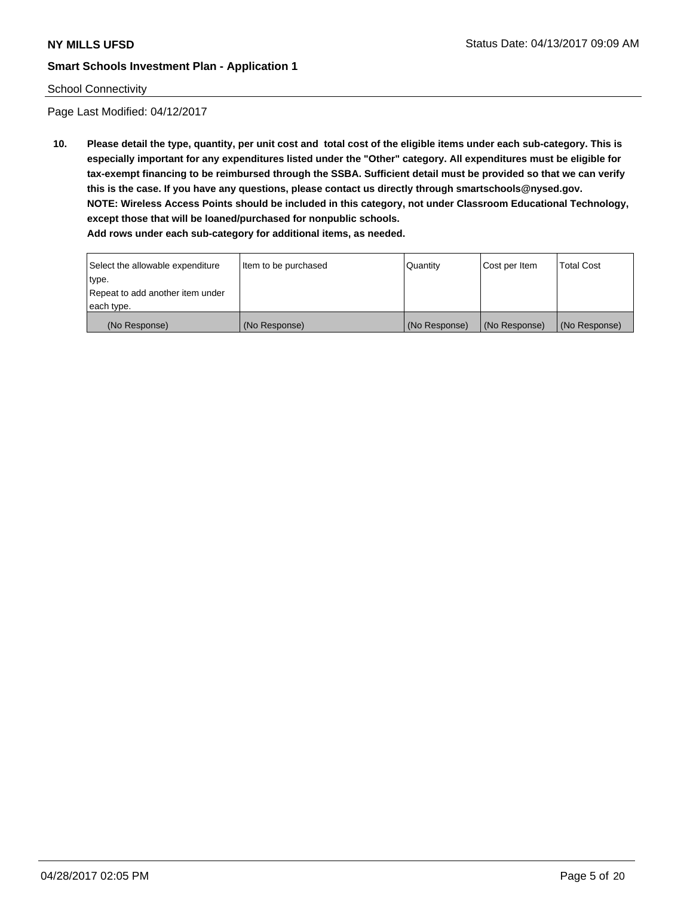### School Connectivity

Page Last Modified: 04/12/2017

**10. Please detail the type, quantity, per unit cost and total cost of the eligible items under each sub-category. This is especially important for any expenditures listed under the "Other" category. All expenditures must be eligible for tax-exempt financing to be reimbursed through the SSBA. Sufficient detail must be provided so that we can verify this is the case. If you have any questions, please contact us directly through smartschools@nysed.gov. NOTE: Wireless Access Points should be included in this category, not under Classroom Educational Technology, except those that will be loaned/purchased for nonpublic schools.**

| Select the allowable expenditure | Item to be purchased | Quantity      | Cost per Item | Total Cost    |
|----------------------------------|----------------------|---------------|---------------|---------------|
| type.                            |                      |               |               |               |
| Repeat to add another item under |                      |               |               |               |
| each type.                       |                      |               |               |               |
| (No Response)                    | (No Response)        | (No Response) | (No Response) | (No Response) |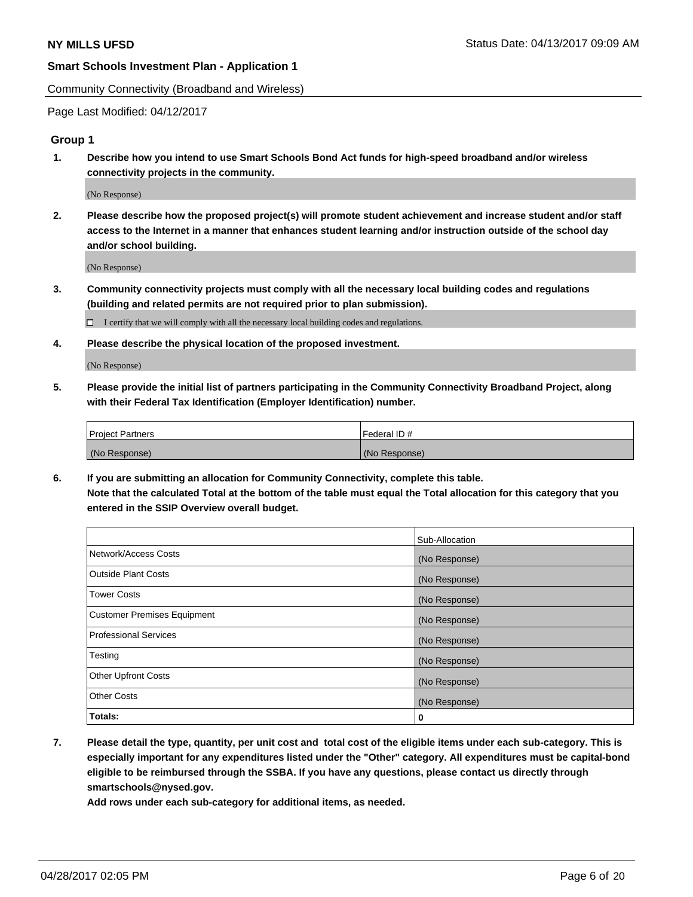Community Connectivity (Broadband and Wireless)

Page Last Modified: 04/12/2017

#### **Group 1**

**1. Describe how you intend to use Smart Schools Bond Act funds for high-speed broadband and/or wireless connectivity projects in the community.**

(No Response)

**2. Please describe how the proposed project(s) will promote student achievement and increase student and/or staff access to the Internet in a manner that enhances student learning and/or instruction outside of the school day and/or school building.**

(No Response)

**3. Community connectivity projects must comply with all the necessary local building codes and regulations (building and related permits are not required prior to plan submission).**

 $\Box$  I certify that we will comply with all the necessary local building codes and regulations.

**4. Please describe the physical location of the proposed investment.**

(No Response)

**5. Please provide the initial list of partners participating in the Community Connectivity Broadband Project, along with their Federal Tax Identification (Employer Identification) number.**

| <b>Project Partners</b> | Federal ID#     |
|-------------------------|-----------------|
| (No Response)           | l (No Response) |

**6. If you are submitting an allocation for Community Connectivity, complete this table. Note that the calculated Total at the bottom of the table must equal the Total allocation for this category that you entered in the SSIP Overview overall budget.**

|                              | Sub-Allocation |
|------------------------------|----------------|
| Network/Access Costs         | (No Response)  |
| Outside Plant Costs          | (No Response)  |
| <b>Tower Costs</b>           | (No Response)  |
| Customer Premises Equipment  | (No Response)  |
| <b>Professional Services</b> | (No Response)  |
| Testing                      | (No Response)  |
| <b>Other Upfront Costs</b>   | (No Response)  |
| <b>Other Costs</b>           | (No Response)  |
| Totals:                      | 0              |

**7. Please detail the type, quantity, per unit cost and total cost of the eligible items under each sub-category. This is especially important for any expenditures listed under the "Other" category. All expenditures must be capital-bond eligible to be reimbursed through the SSBA. If you have any questions, please contact us directly through smartschools@nysed.gov.**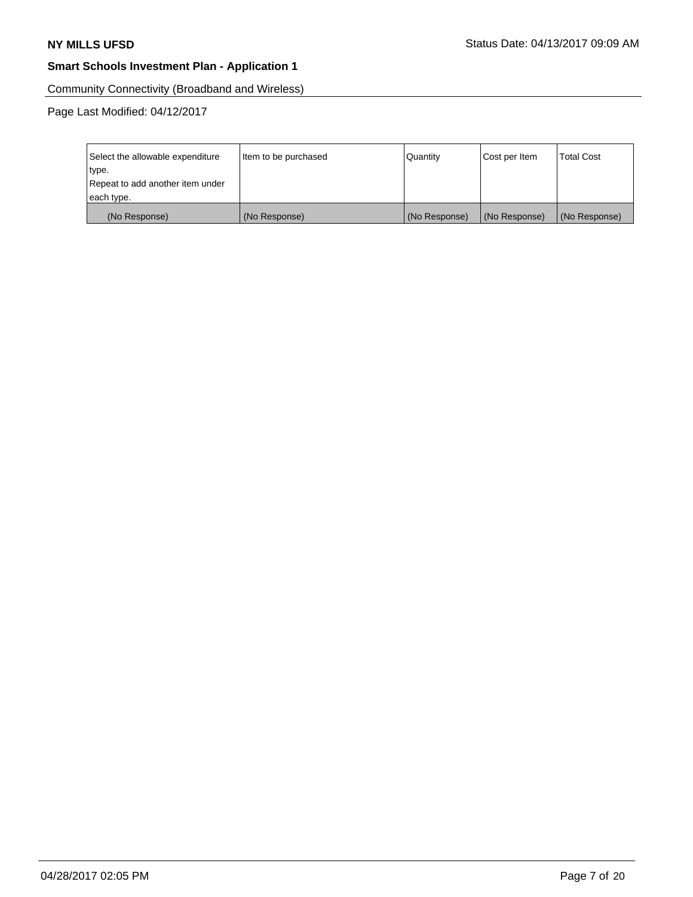Community Connectivity (Broadband and Wireless)

| Select the allowable expenditure | Item to be purchased | Quantity      | Cost per Item | <b>Total Cost</b> |
|----------------------------------|----------------------|---------------|---------------|-------------------|
| type.                            |                      |               |               |                   |
| Repeat to add another item under |                      |               |               |                   |
| each type.                       |                      |               |               |                   |
| (No Response)                    | (No Response)        | (No Response) | (No Response) | (No Response)     |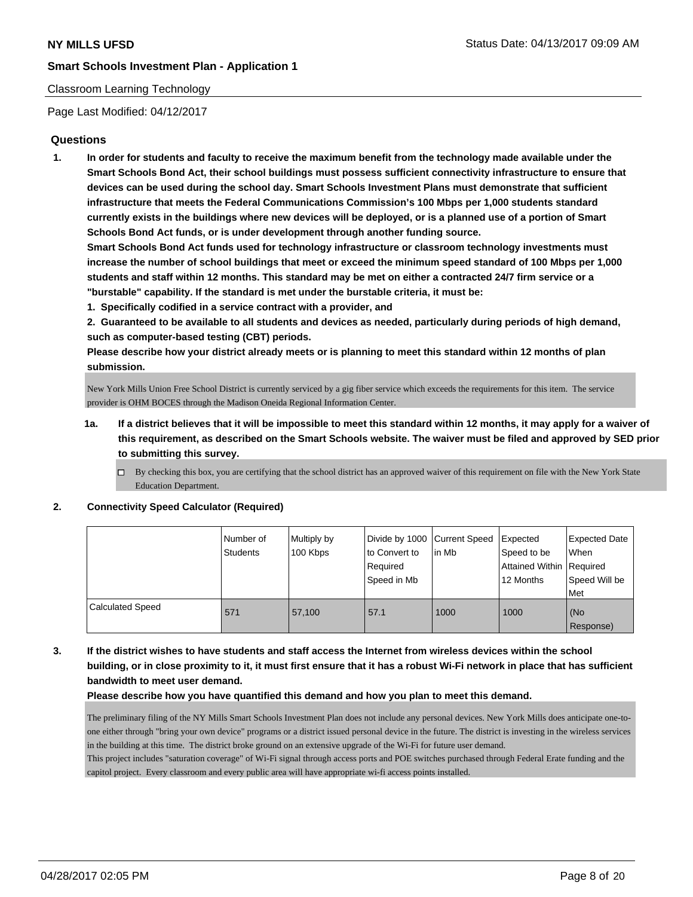### Classroom Learning Technology

Page Last Modified: 04/12/2017

### **Questions**

**1. In order for students and faculty to receive the maximum benefit from the technology made available under the Smart Schools Bond Act, their school buildings must possess sufficient connectivity infrastructure to ensure that devices can be used during the school day. Smart Schools Investment Plans must demonstrate that sufficient infrastructure that meets the Federal Communications Commission's 100 Mbps per 1,000 students standard currently exists in the buildings where new devices will be deployed, or is a planned use of a portion of Smart Schools Bond Act funds, or is under development through another funding source.**

**Smart Schools Bond Act funds used for technology infrastructure or classroom technology investments must increase the number of school buildings that meet or exceed the minimum speed standard of 100 Mbps per 1,000 students and staff within 12 months. This standard may be met on either a contracted 24/7 firm service or a "burstable" capability. If the standard is met under the burstable criteria, it must be:**

**1. Specifically codified in a service contract with a provider, and**

**2. Guaranteed to be available to all students and devices as needed, particularly during periods of high demand, such as computer-based testing (CBT) periods.**

**Please describe how your district already meets or is planning to meet this standard within 12 months of plan submission.**

New York Mills Union Free School District is currently serviced by a gig fiber service which exceeds the requirements for this item. The service provider is OHM BOCES through the Madison Oneida Regional Information Center.

- **1a. If a district believes that it will be impossible to meet this standard within 12 months, it may apply for a waiver of this requirement, as described on the Smart Schools website. The waiver must be filed and approved by SED prior to submitting this survey.**
	- $\Box$  By checking this box, you are certifying that the school district has an approved waiver of this requirement on file with the New York State Education Department.

#### **2. Connectivity Speed Calculator (Required)**

|                         | Number of<br><b>Students</b> | Multiply by<br>100 Kbps | Divide by 1000   Current Speed<br>to Convert to<br>Reauired<br>Speed in Mb | lin Mb | Expected<br>Speed to be<br>Attained Within Required<br>12 Months | <b>Expected Date</b><br>When<br>Speed Will be<br>l Met |
|-------------------------|------------------------------|-------------------------|----------------------------------------------------------------------------|--------|------------------------------------------------------------------|--------------------------------------------------------|
| <b>Calculated Speed</b> | 571                          | 57,100                  | 57.1                                                                       | 1000   | 1000                                                             | (No<br>Response)                                       |

**3. If the district wishes to have students and staff access the Internet from wireless devices within the school building, or in close proximity to it, it must first ensure that it has a robust Wi-Fi network in place that has sufficient bandwidth to meet user demand.**

**Please describe how you have quantified this demand and how you plan to meet this demand.**

The preliminary filing of the NY Mills Smart Schools Investment Plan does not include any personal devices. New York Mills does anticipate one-toone either through "bring your own device" programs or a district issued personal device in the future. The district is investing in the wireless services in the building at this time. The district broke ground on an extensive upgrade of the Wi-Fi for future user demand.

This project includes "saturation coverage" of Wi-Fi signal through access ports and POE switches purchased through Federal Erate funding and the capitol project. Every classroom and every public area will have appropriate wi-fi access points installed.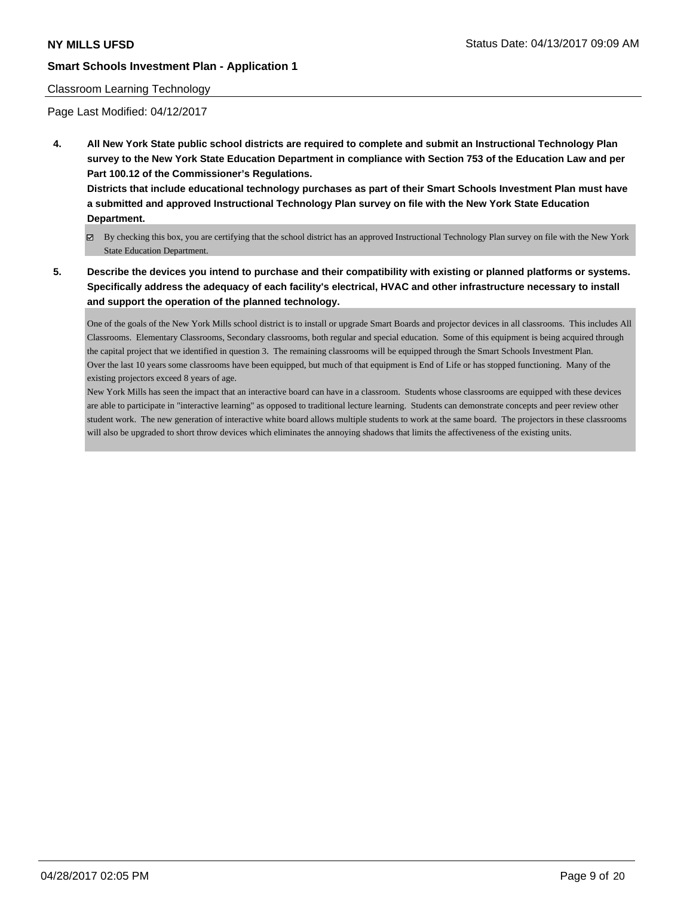#### Classroom Learning Technology

Page Last Modified: 04/12/2017

**4. All New York State public school districts are required to complete and submit an Instructional Technology Plan survey to the New York State Education Department in compliance with Section 753 of the Education Law and per Part 100.12 of the Commissioner's Regulations.**

**Districts that include educational technology purchases as part of their Smart Schools Investment Plan must have a submitted and approved Instructional Technology Plan survey on file with the New York State Education Department.**

- By checking this box, you are certifying that the school district has an approved Instructional Technology Plan survey on file with the New York State Education Department.
- **5. Describe the devices you intend to purchase and their compatibility with existing or planned platforms or systems. Specifically address the adequacy of each facility's electrical, HVAC and other infrastructure necessary to install and support the operation of the planned technology.**

One of the goals of the New York Mills school district is to install or upgrade Smart Boards and projector devices in all classrooms. This includes All Classrooms. Elementary Classrooms, Secondary classrooms, both regular and special education. Some of this equipment is being acquired through the capital project that we identified in question 3. The remaining classrooms will be equipped through the Smart Schools Investment Plan. Over the last 10 years some classrooms have been equipped, but much of that equipment is End of Life or has stopped functioning. Many of the existing projectors exceed 8 years of age.

New York Mills has seen the impact that an interactive board can have in a classroom. Students whose classrooms are equipped with these devices are able to participate in "interactive learning" as opposed to traditional lecture learning. Students can demonstrate concepts and peer review other student work. The new generation of interactive white board allows multiple students to work at the same board. The projectors in these classrooms will also be upgraded to short throw devices which eliminates the annoying shadows that limits the affectiveness of the existing units.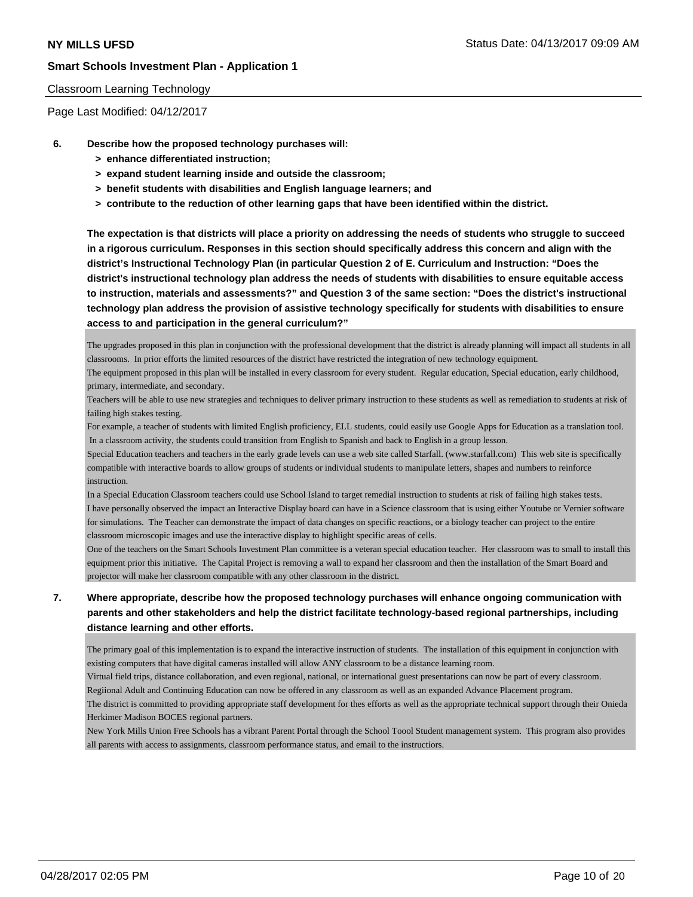#### Classroom Learning Technology

Page Last Modified: 04/12/2017

- **6. Describe how the proposed technology purchases will:**
	- **> enhance differentiated instruction;**
	- **> expand student learning inside and outside the classroom;**
	- **> benefit students with disabilities and English language learners; and**
	- **> contribute to the reduction of other learning gaps that have been identified within the district.**

**The expectation is that districts will place a priority on addressing the needs of students who struggle to succeed in a rigorous curriculum. Responses in this section should specifically address this concern and align with the district's Instructional Technology Plan (in particular Question 2 of E. Curriculum and Instruction: "Does the district's instructional technology plan address the needs of students with disabilities to ensure equitable access to instruction, materials and assessments?" and Question 3 of the same section: "Does the district's instructional technology plan address the provision of assistive technology specifically for students with disabilities to ensure access to and participation in the general curriculum?"**

The upgrades proposed in this plan in conjunction with the professional development that the district is already planning will impact all students in all classrooms. In prior efforts the limited resources of the district have restricted the integration of new technology equipment.

The equipment proposed in this plan will be installed in every classroom for every student. Regular education, Special education, early childhood, primary, intermediate, and secondary.

Teachers will be able to use new strategies and techniques to deliver primary instruction to these students as well as remediation to students at risk of failing high stakes testing.

For example, a teacher of students with limited English proficiency, ELL students, could easily use Google Apps for Education as a translation tool. In a classroom activity, the students could transition from English to Spanish and back to English in a group lesson.

Special Education teachers and teachers in the early grade levels can use a web site called Starfall. (www.starfall.com) This web site is specifically compatible with interactive boards to allow groups of students or individual students to manipulate letters, shapes and numbers to reinforce instruction.

In a Special Education Classroom teachers could use School Island to target remedial instruction to students at risk of failing high stakes tests. I have personally observed the impact an Interactive Display board can have in a Science classroom that is using either Youtube or Vernier software for simulations. The Teacher can demonstrate the impact of data changes on specific reactions, or a biology teacher can project to the entire classroom microscopic images and use the interactive display to highlight specific areas of cells.

One of the teachers on the Smart Schools Investment Plan committee is a veteran special education teacher. Her classroom was to small to install this equipment prior this initiative. The Capital Project is removing a wall to expand her classroom and then the installation of the Smart Board and projector will make her classroom compatible with any other classroom in the district.

# **7. Where appropriate, describe how the proposed technology purchases will enhance ongoing communication with parents and other stakeholders and help the district facilitate technology-based regional partnerships, including distance learning and other efforts.**

The primary goal of this implementation is to expand the interactive instruction of students. The installation of this equipment in conjunction with existing computers that have digital cameras installed will allow ANY classroom to be a distance learning room.

Virtual field trips, distance collaboration, and even regional, national, or international guest presentations can now be part of every classroom.

Regiional Adult and Continuing Education can now be offered in any classroom as well as an expanded Advance Placement program.

The district is committed to providing appropriate staff development for thes efforts as well as the appropriate technical support through their Onieda Herkimer Madison BOCES regional partners.

New York Mills Union Free Schools has a vibrant Parent Portal through the School Toool Student management system. This program also provides all parents with access to assignments, classroom performance status, and email to the instructiors.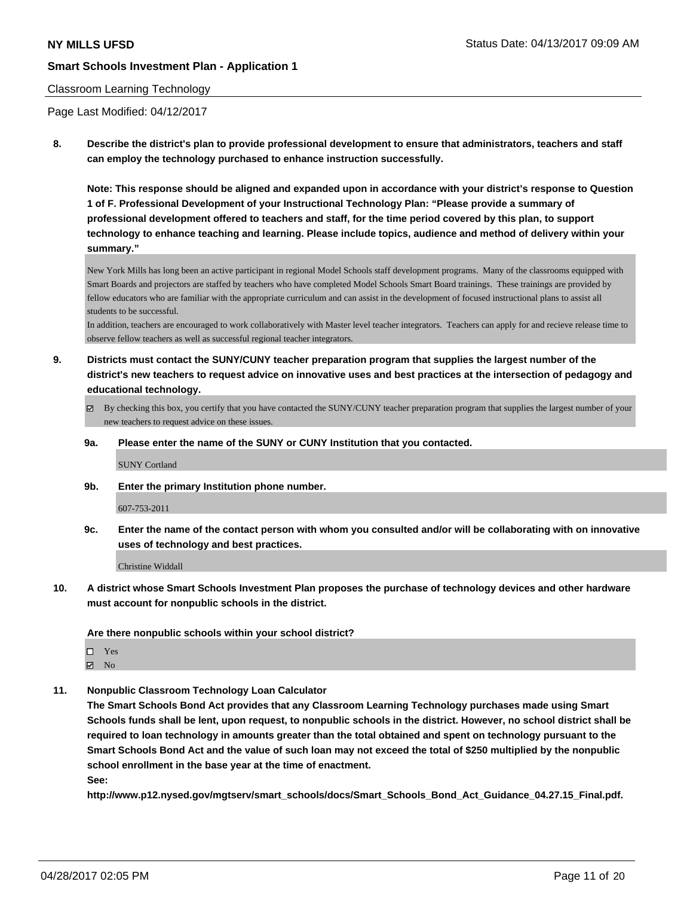#### Classroom Learning Technology

Page Last Modified: 04/12/2017

**8. Describe the district's plan to provide professional development to ensure that administrators, teachers and staff can employ the technology purchased to enhance instruction successfully.**

**Note: This response should be aligned and expanded upon in accordance with your district's response to Question 1 of F. Professional Development of your Instructional Technology Plan: "Please provide a summary of professional development offered to teachers and staff, for the time period covered by this plan, to support technology to enhance teaching and learning. Please include topics, audience and method of delivery within your summary."**

New York Mills has long been an active participant in regional Model Schools staff development programs. Many of the classrooms equipped with Smart Boards and projectors are staffed by teachers who have completed Model Schools Smart Board trainings. These trainings are provided by fellow educators who are familiar with the appropriate curriculum and can assist in the development of focused instructional plans to assist all students to be successful.

In addition, teachers are encouraged to work collaboratively with Master level teacher integrators. Teachers can apply for and recieve release time to observe fellow teachers as well as successful regional teacher integrators.

- **9. Districts must contact the SUNY/CUNY teacher preparation program that supplies the largest number of the district's new teachers to request advice on innovative uses and best practices at the intersection of pedagogy and educational technology.**
	- $\boxtimes$  By checking this box, you certify that you have contacted the SUNY/CUNY teacher preparation program that supplies the largest number of your new teachers to request advice on these issues.
	- **9a. Please enter the name of the SUNY or CUNY Institution that you contacted.**

SUNY Cortland

**9b. Enter the primary Institution phone number.**

#### 607-753-2011

**9c. Enter the name of the contact person with whom you consulted and/or will be collaborating with on innovative uses of technology and best practices.**

Christine Widdall

**10. A district whose Smart Schools Investment Plan proposes the purchase of technology devices and other hardware must account for nonpublic schools in the district.**

**Are there nonpublic schools within your school district?**

 $\boxtimes$  No

**11. Nonpublic Classroom Technology Loan Calculator**

**The Smart Schools Bond Act provides that any Classroom Learning Technology purchases made using Smart Schools funds shall be lent, upon request, to nonpublic schools in the district. However, no school district shall be required to loan technology in amounts greater than the total obtained and spent on technology pursuant to the Smart Schools Bond Act and the value of such loan may not exceed the total of \$250 multiplied by the nonpublic school enrollment in the base year at the time of enactment.**

**See:**

**http://www.p12.nysed.gov/mgtserv/smart\_schools/docs/Smart\_Schools\_Bond\_Act\_Guidance\_04.27.15\_Final.pdf.**

Yes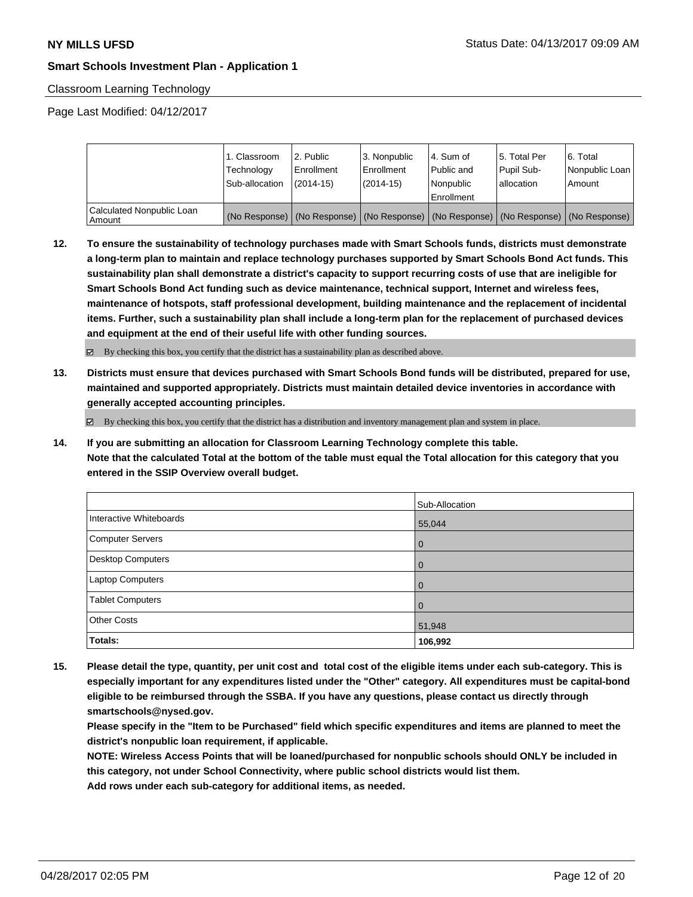### Classroom Learning Technology

Page Last Modified: 04/12/2017

|                                     | 1. Classroom<br>Technology<br>Sub-allocation | 2. Public<br>Enrollment<br>$(2014-15)$ | l 3. Nonpublic<br>Enrollment<br>$(2014-15)$ | l 4. Sum of<br>Public and<br>l Nonpublic<br>l Enrollment | 15. Total Per<br>Pupil Sub-<br>l allocation | 6. Total<br>Nonpublic Loan  <br>Amount                                                        |
|-------------------------------------|----------------------------------------------|----------------------------------------|---------------------------------------------|----------------------------------------------------------|---------------------------------------------|-----------------------------------------------------------------------------------------------|
| Calculated Nonpublic Loan<br>Amount |                                              |                                        |                                             |                                                          |                                             | (No Response)   (No Response)   (No Response)   (No Response)   (No Response)   (No Response) |

**12. To ensure the sustainability of technology purchases made with Smart Schools funds, districts must demonstrate a long-term plan to maintain and replace technology purchases supported by Smart Schools Bond Act funds. This sustainability plan shall demonstrate a district's capacity to support recurring costs of use that are ineligible for Smart Schools Bond Act funding such as device maintenance, technical support, Internet and wireless fees, maintenance of hotspots, staff professional development, building maintenance and the replacement of incidental items. Further, such a sustainability plan shall include a long-term plan for the replacement of purchased devices and equipment at the end of their useful life with other funding sources.**

By checking this box, you certify that the district has a sustainability plan as described above.

**13. Districts must ensure that devices purchased with Smart Schools Bond funds will be distributed, prepared for use, maintained and supported appropriately. Districts must maintain detailed device inventories in accordance with generally accepted accounting principles.**

 $\boxtimes$  By checking this box, you certify that the district has a distribution and inventory management plan and system in place.

**14. If you are submitting an allocation for Classroom Learning Technology complete this table. Note that the calculated Total at the bottom of the table must equal the Total allocation for this category that you entered in the SSIP Overview overall budget.**

|                         | Sub-Allocation |
|-------------------------|----------------|
| Interactive Whiteboards | 55,044         |
| Computer Servers        | $\overline{0}$ |
| Desktop Computers       | $\overline{0}$ |
| Laptop Computers        | $\Omega$       |
| <b>Tablet Computers</b> | $\overline{0}$ |
| <b>Other Costs</b>      | 51,948         |
| Totals:                 | 106,992        |

**15. Please detail the type, quantity, per unit cost and total cost of the eligible items under each sub-category. This is especially important for any expenditures listed under the "Other" category. All expenditures must be capital-bond eligible to be reimbursed through the SSBA. If you have any questions, please contact us directly through smartschools@nysed.gov.**

**Please specify in the "Item to be Purchased" field which specific expenditures and items are planned to meet the district's nonpublic loan requirement, if applicable.**

**NOTE: Wireless Access Points that will be loaned/purchased for nonpublic schools should ONLY be included in this category, not under School Connectivity, where public school districts would list them.**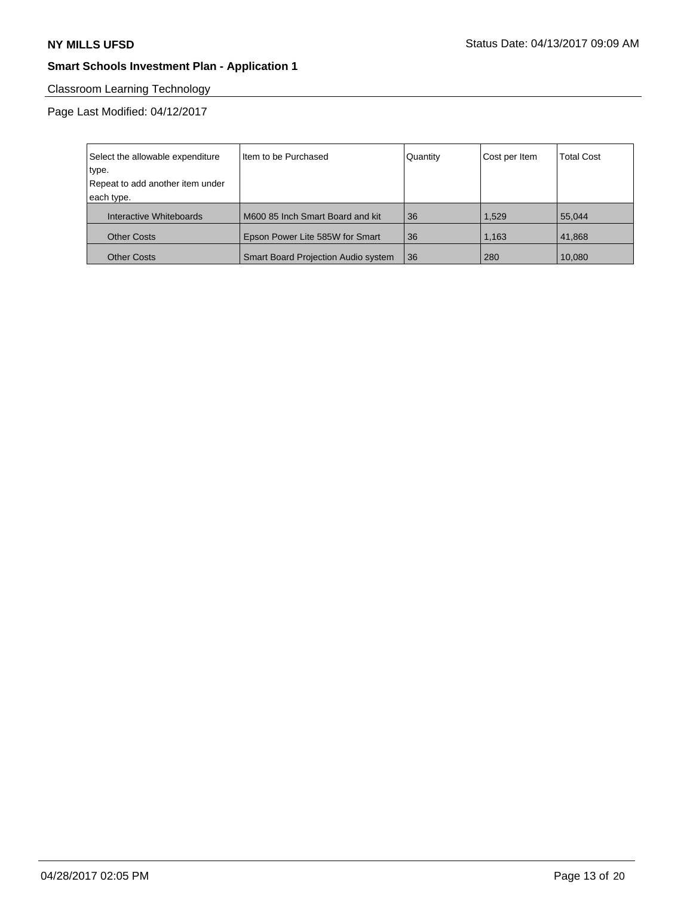# Classroom Learning Technology

| Select the allowable expenditure | Item to be Purchased                       | Quantity | Cost per Item | <b>Total Cost</b> |
|----------------------------------|--------------------------------------------|----------|---------------|-------------------|
| type.                            |                                            |          |               |                   |
| Repeat to add another item under |                                            |          |               |                   |
| each type.                       |                                            |          |               |                   |
| Interactive Whiteboards          | M600 85 Inch Smart Board and kit           | 36       | 1.529         | 55.044            |
| <b>Other Costs</b>               | Epson Power Lite 585W for Smart            | 36       | 1.163         | 41.868            |
| <b>Other Costs</b>               | <b>Smart Board Projection Audio system</b> | 36       | 280           | 10,080            |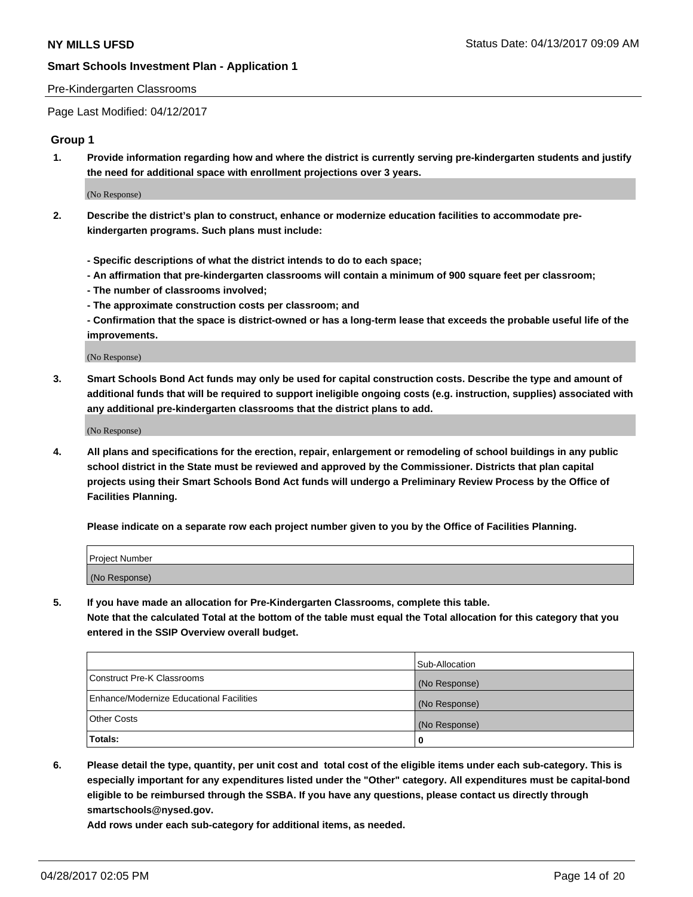#### Pre-Kindergarten Classrooms

Page Last Modified: 04/12/2017

#### **Group 1**

**1. Provide information regarding how and where the district is currently serving pre-kindergarten students and justify the need for additional space with enrollment projections over 3 years.**

(No Response)

- **2. Describe the district's plan to construct, enhance or modernize education facilities to accommodate prekindergarten programs. Such plans must include:**
	- **Specific descriptions of what the district intends to do to each space;**
	- **An affirmation that pre-kindergarten classrooms will contain a minimum of 900 square feet per classroom;**
	- **The number of classrooms involved;**
	- **The approximate construction costs per classroom; and**
	- **Confirmation that the space is district-owned or has a long-term lease that exceeds the probable useful life of the improvements.**

(No Response)

**3. Smart Schools Bond Act funds may only be used for capital construction costs. Describe the type and amount of additional funds that will be required to support ineligible ongoing costs (e.g. instruction, supplies) associated with any additional pre-kindergarten classrooms that the district plans to add.**

(No Response)

**4. All plans and specifications for the erection, repair, enlargement or remodeling of school buildings in any public school district in the State must be reviewed and approved by the Commissioner. Districts that plan capital projects using their Smart Schools Bond Act funds will undergo a Preliminary Review Process by the Office of Facilities Planning.**

**Please indicate on a separate row each project number given to you by the Office of Facilities Planning.**

| Project Number |  |
|----------------|--|
| (No Response)  |  |

**5. If you have made an allocation for Pre-Kindergarten Classrooms, complete this table. Note that the calculated Total at the bottom of the table must equal the Total allocation for this category that you entered in the SSIP Overview overall budget.**

| Totals:                                  | 0              |
|------------------------------------------|----------------|
| Other Costs                              | (No Response)  |
| Enhance/Modernize Educational Facilities | (No Response)  |
| Construct Pre-K Classrooms               | (No Response)  |
|                                          | Sub-Allocation |

**6. Please detail the type, quantity, per unit cost and total cost of the eligible items under each sub-category. This is especially important for any expenditures listed under the "Other" category. All expenditures must be capital-bond eligible to be reimbursed through the SSBA. If you have any questions, please contact us directly through smartschools@nysed.gov.**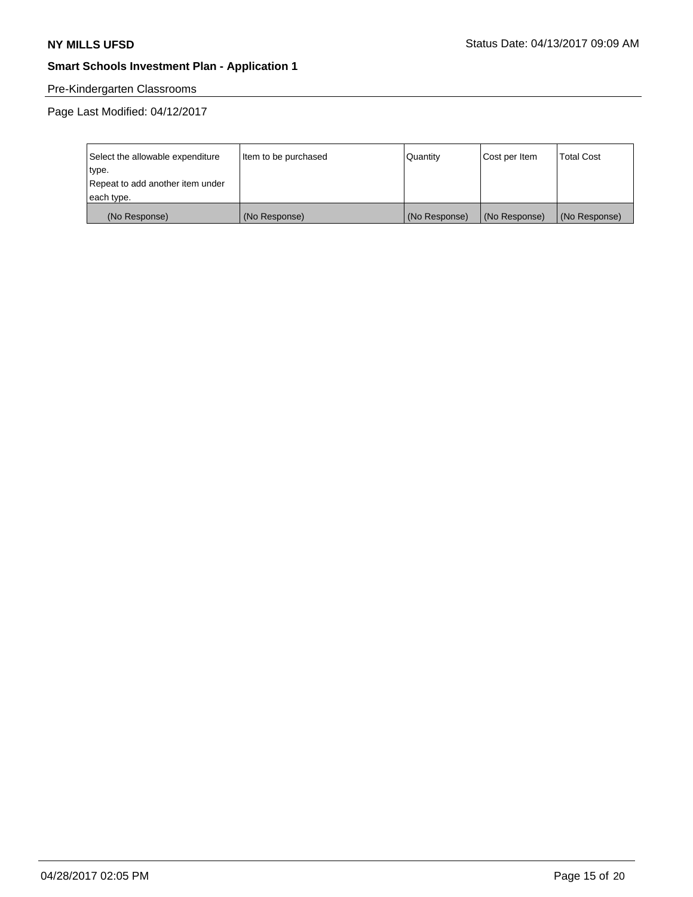# Pre-Kindergarten Classrooms

| Select the allowable expenditure | Item to be purchased | Quantity      | Cost per Item | <b>Total Cost</b> |
|----------------------------------|----------------------|---------------|---------------|-------------------|
| type.                            |                      |               |               |                   |
| Repeat to add another item under |                      |               |               |                   |
| each type.                       |                      |               |               |                   |
| (No Response)                    | (No Response)        | (No Response) | (No Response) | (No Response)     |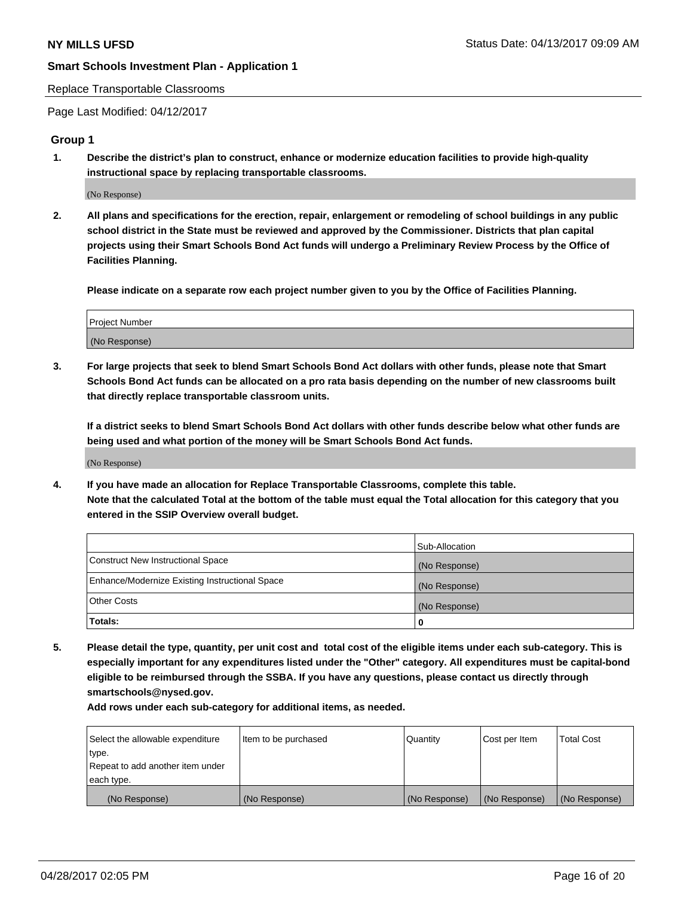#### Replace Transportable Classrooms

Page Last Modified: 04/12/2017

#### **Group 1**

**1. Describe the district's plan to construct, enhance or modernize education facilities to provide high-quality instructional space by replacing transportable classrooms.**

(No Response)

**2. All plans and specifications for the erection, repair, enlargement or remodeling of school buildings in any public school district in the State must be reviewed and approved by the Commissioner. Districts that plan capital projects using their Smart Schools Bond Act funds will undergo a Preliminary Review Process by the Office of Facilities Planning.**

**Please indicate on a separate row each project number given to you by the Office of Facilities Planning.**

| Project Number |  |
|----------------|--|
| (No Response)  |  |

**3. For large projects that seek to blend Smart Schools Bond Act dollars with other funds, please note that Smart Schools Bond Act funds can be allocated on a pro rata basis depending on the number of new classrooms built that directly replace transportable classroom units.**

**If a district seeks to blend Smart Schools Bond Act dollars with other funds describe below what other funds are being used and what portion of the money will be Smart Schools Bond Act funds.**

(No Response)

**4. If you have made an allocation for Replace Transportable Classrooms, complete this table. Note that the calculated Total at the bottom of the table must equal the Total allocation for this category that you entered in the SSIP Overview overall budget.**

|                                                | Sub-Allocation |
|------------------------------------------------|----------------|
| Construct New Instructional Space              | (No Response)  |
| Enhance/Modernize Existing Instructional Space | (No Response)  |
| Other Costs                                    | (No Response)  |
| Totals:                                        | $\Omega$       |

**5. Please detail the type, quantity, per unit cost and total cost of the eligible items under each sub-category. This is especially important for any expenditures listed under the "Other" category. All expenditures must be capital-bond eligible to be reimbursed through the SSBA. If you have any questions, please contact us directly through smartschools@nysed.gov.**

| Select the allowable expenditure | Item to be purchased | Quantity      | Cost per Item | <b>Total Cost</b> |
|----------------------------------|----------------------|---------------|---------------|-------------------|
| type.                            |                      |               |               |                   |
| Repeat to add another item under |                      |               |               |                   |
| each type.                       |                      |               |               |                   |
| (No Response)                    | (No Response)        | (No Response) | (No Response) | (No Response)     |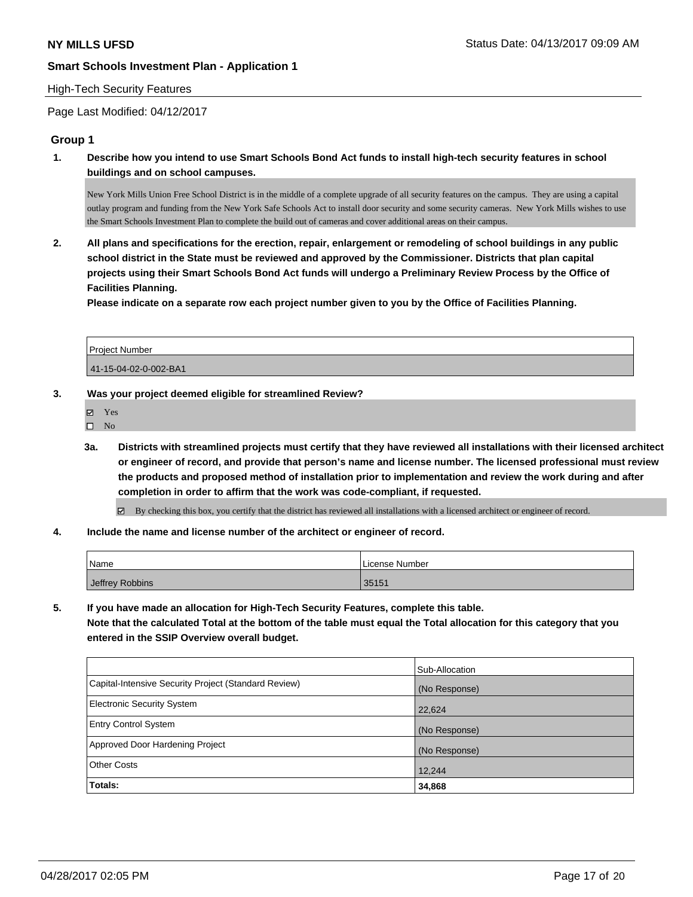#### High-Tech Security Features

Page Last Modified: 04/12/2017

#### **Group 1**

**1. Describe how you intend to use Smart Schools Bond Act funds to install high-tech security features in school buildings and on school campuses.**

New York Mills Union Free School District is in the middle of a complete upgrade of all security features on the campus. They are using a capital outlay program and funding from the New York Safe Schools Act to install door security and some security cameras. New York Mills wishes to use the Smart Schools Investment Plan to complete the build out of cameras and cover additional areas on their campus.

**2. All plans and specifications for the erection, repair, enlargement or remodeling of school buildings in any public school district in the State must be reviewed and approved by the Commissioner. Districts that plan capital projects using their Smart Schools Bond Act funds will undergo a Preliminary Review Process by the Office of Facilities Planning.** 

**Please indicate on a separate row each project number given to you by the Office of Facilities Planning.**

| <b>Project Number</b> |  |
|-----------------------|--|
| 41-15-04-02-0-002-BA1 |  |

#### **3. Was your project deemed eligible for streamlined Review?**

- Yes
- $\square$  No
- **3a. Districts with streamlined projects must certify that they have reviewed all installations with their licensed architect or engineer of record, and provide that person's name and license number. The licensed professional must review the products and proposed method of installation prior to implementation and review the work during and after completion in order to affirm that the work was code-compliant, if requested.**

By checking this box, you certify that the district has reviewed all installations with a licensed architect or engineer of record.

**4. Include the name and license number of the architect or engineer of record.**

| Name            | License Number |
|-----------------|----------------|
| Jeffrey Robbins | 35151          |

**5. If you have made an allocation for High-Tech Security Features, complete this table. Note that the calculated Total at the bottom of the table must equal the Total allocation for this category that you entered in the SSIP Overview overall budget.**

|                                                      | Sub-Allocation |
|------------------------------------------------------|----------------|
| Capital-Intensive Security Project (Standard Review) | (No Response)  |
| Electronic Security System                           | 22,624         |
| <b>Entry Control System</b>                          | (No Response)  |
| Approved Door Hardening Project                      | (No Response)  |
| <b>Other Costs</b>                                   | 12,244         |
| Totals:                                              | 34,868         |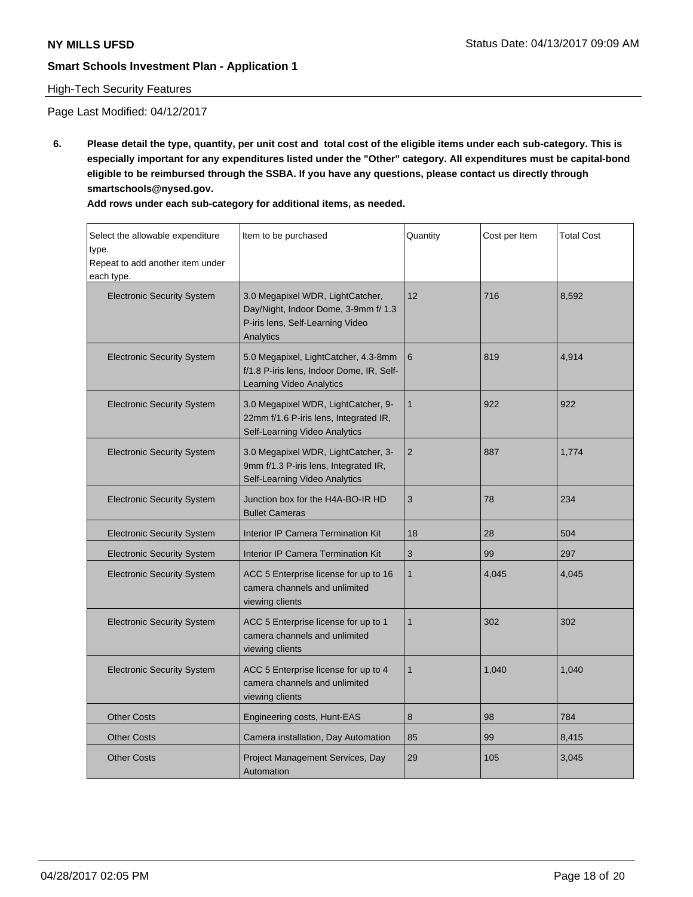# High-Tech Security Features

Page Last Modified: 04/12/2017

**6. Please detail the type, quantity, per unit cost and total cost of the eligible items under each sub-category. This is especially important for any expenditures listed under the "Other" category. All expenditures must be capital-bond eligible to be reimbursed through the SSBA. If you have any questions, please contact us directly through smartschools@nysed.gov.**

| Add rows under each sub-category for additional items, as needed. |  |
|-------------------------------------------------------------------|--|
|-------------------------------------------------------------------|--|

| Select the allowable expenditure<br>type.<br>Repeat to add another item under<br>each type. | Item to be purchased                                                                                                      | Quantity       | Cost per Item | <b>Total Cost</b> |
|---------------------------------------------------------------------------------------------|---------------------------------------------------------------------------------------------------------------------------|----------------|---------------|-------------------|
| <b>Electronic Security System</b>                                                           | 3.0 Megapixel WDR, LightCatcher,<br>Day/Night, Indoor Dome, 3-9mm f/ 1.3<br>P-iris lens, Self-Learning Video<br>Analytics | 12             | 716           | 8,592             |
| <b>Electronic Security System</b>                                                           | 5.0 Megapixel, LightCatcher, 4.3-8mm<br>f/1.8 P-iris lens, Indoor Dome, IR, Self-<br>Learning Video Analytics             | 6              | 819           | 4,914             |
| <b>Electronic Security System</b>                                                           | 3.0 Megapixel WDR, LightCatcher, 9-<br>22mm f/1.6 P-iris lens, Integrated IR,<br>Self-Learning Video Analytics            | $\mathbf{1}$   | 922           | 922               |
| <b>Electronic Security System</b>                                                           | 3.0 Megapixel WDR, LightCatcher, 3-<br>9mm f/1.3 P-iris lens, Integrated IR,<br>Self-Learning Video Analytics             | $\overline{2}$ | 887           | 1,774             |
| <b>Electronic Security System</b>                                                           | Junction box for the H4A-BO-IR HD<br><b>Bullet Cameras</b>                                                                | 3              | 78            | 234               |
| <b>Electronic Security System</b>                                                           | Interior IP Camera Termination Kit                                                                                        | 18             | 28            | 504               |
| <b>Electronic Security System</b>                                                           | Interior IP Camera Termination Kit                                                                                        | 3              | 99            | 297               |
| <b>Electronic Security System</b>                                                           | ACC 5 Enterprise license for up to 16<br>camera channels and unlimited<br>viewing clients                                 | $\mathbf{1}$   | 4,045         | 4,045             |
| <b>Electronic Security System</b>                                                           | ACC 5 Enterprise license for up to 1<br>camera channels and unlimited<br>viewing clients                                  | $\mathbf{1}$   | 302           | 302               |
| <b>Electronic Security System</b>                                                           | ACC 5 Enterprise license for up to 4<br>camera channels and unlimited<br>viewing clients                                  | $\mathbf 1$    | 1,040         | 1,040             |
| <b>Other Costs</b>                                                                          | Engineering costs, Hunt-EAS                                                                                               | 8              | 98            | 784               |
| <b>Other Costs</b>                                                                          | Camera installation, Day Automation                                                                                       | 85             | 99            | 8,415             |
| <b>Other Costs</b>                                                                          | Project Management Services, Day<br>Automation                                                                            | 29             | 105           | 3,045             |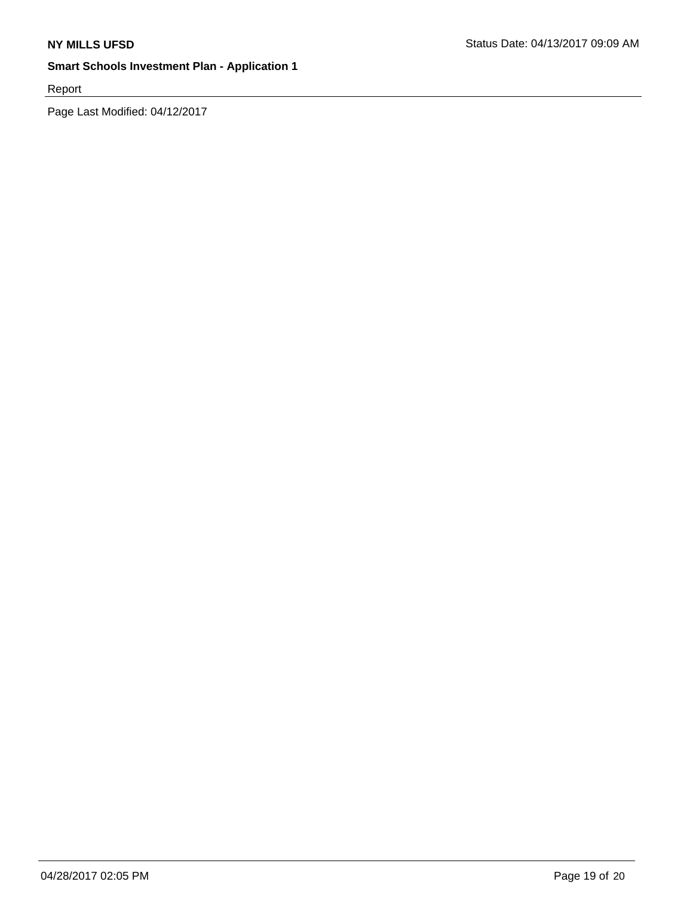Report